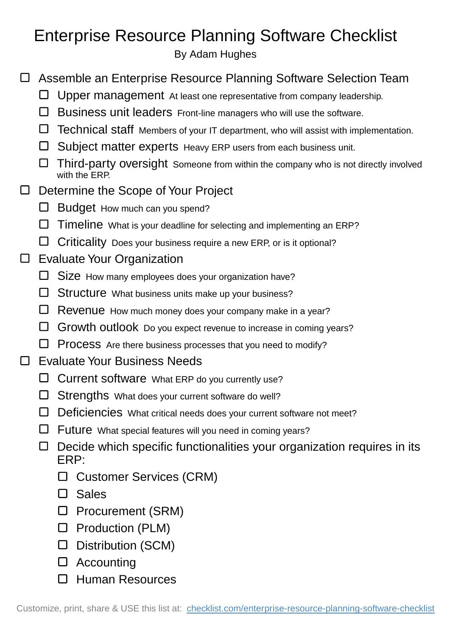## Enterprise Resource Planning Software Checklist

By Adam Hughes

- Assemble an Enterprise Resource Planning Software Selection Team
	- $\Box$  Upper management At least one representative from company leadership.
	- $\square$  Business unit leaders Front-line managers who will use the software.
	- Technical staff Members of your IT department, who will assist with implementation.
	- $\square$  Subject matter experts Heavy ERP users from each business unit.
	- $\Box$  Third-party oversight Someone from within the company who is not directly involved with the ERP.

## Determine the Scope of Your Project  $\Box$

- $\Box$  Budget How much can you spend?
- $\square$  Timeline What is your deadline for selecting and implementing an ERP?
- $\Box$  Criticality Does your business require a new ERP, or is it optional?

## Evaluate Your Organization  $\Box$

- $\square$  Size How many employees does your organization have?
- $\Box$  Structure What business units make up your business?
- $\Box$  Revenue How much money does your company make in a year?
- $\Box$  Growth outlook Do you expect revenue to increase in coming years?
- $\Box$  Process Are there business processes that you need to modify?
- □ Evaluate Your Business Needs
	- $\Box$  Current software What ERP do you currently use?
	- $\square$  Strengths What does your current software do well?
	- Deficiencies What critical needs does your current software not meet?
	- $\square$  Future What special features will you need in coming years?
	- $\Box$  Decide which specific functionalities your organization requires in its ERP:
		- Customer Services (CRM)
		- $\Box$  Sales
		- □ Procurement (SRM)
		- $\square$  Production (PLM)
		- Distribution (SCM)
		- Accounting
		- □ Human Resources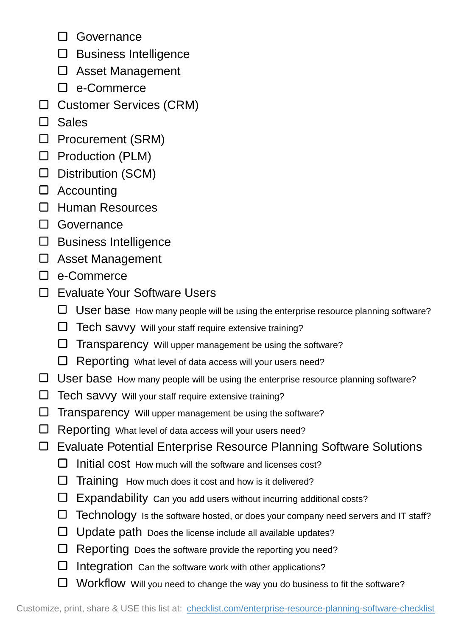- □ Governance
- $\square$  Business Intelligence
- Asset Management
- □ e-Commerce
- Customer Services (CRM)
- $\Box$  Sales
- □ Procurement (SRM)
- $\square$  Production (PLM)
- Distribution (SCM)
- □ Accounting
- Human Resources
- Governance
- $\square$  Business Intelligence
- Asset Management
- □ e-Commerce
- □ Evaluate Your Software Users
	- User base How many people will be using the enterprise resource planning software?
	- $\Box$  Tech savvy Will your staff require extensive training?
	- $\Box$  Transparency Will upper management be using the software?
	- $\Box$  Reporting What level of data access will your users need?
- □ User base How many people will be using the enterprise resource planning software?
- Tech savvy Will your staff require extensive training?
- $\Box$  Transparency Will upper management be using the software?
- □ Reporting What level of data access will your users need?
- Evaluate Potential Enterprise Resource Planning Software Solutions
	- $\square$  Initial cost How much will the software and licenses cost?
	- $\Box$  Training How much does it cost and how is it delivered?
	- $\square$  Expandability Can you add users without incurring additional costs?
	- Technology Is the software hosted, or does your company need servers and IT staff?
	- $\Box$  Update path Does the license include all available updates?
	- $\Box$  Reporting Does the software provide the reporting you need?
	- $\square$  Integration Can the software work with other applications?
	- □ Workflow Will you need to change the way you do business to fit the software?